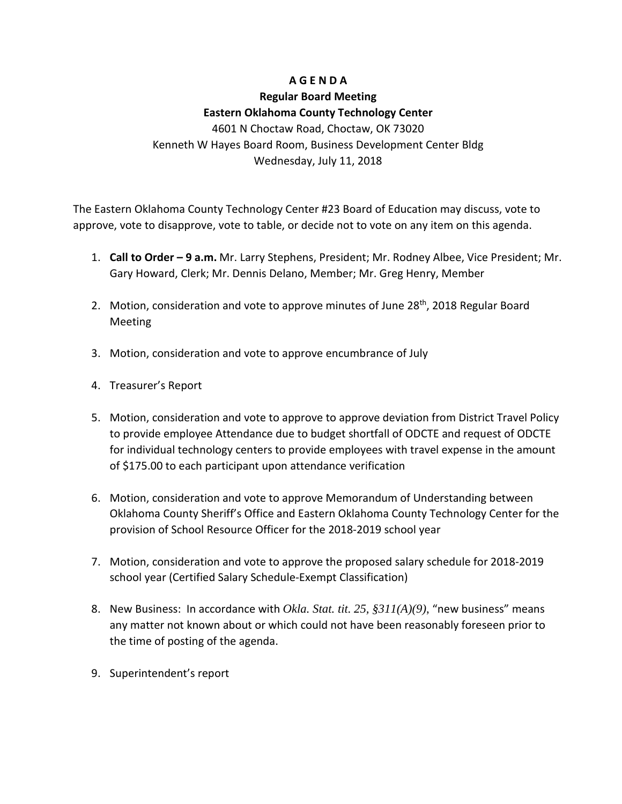## **A G E N D A**

### **Regular Board Meeting Eastern Oklahoma County Technology Center**

4601 N Choctaw Road, Choctaw, OK 73020 Kenneth W Hayes Board Room, Business Development Center Bldg Wednesday, July 11, 2018

The Eastern Oklahoma County Technology Center #23 Board of Education may discuss, vote to approve, vote to disapprove, vote to table, or decide not to vote on any item on this agenda.

- 1. **Call to Order – 9 a.m.** Mr. Larry Stephens, President; Mr. Rodney Albee, Vice President; Mr. Gary Howard, Clerk; Mr. Dennis Delano, Member; Mr. Greg Henry, Member
- 2. Motion, consideration and vote to approve minutes of June 28<sup>th</sup>, 2018 Regular Board Meeting
- 3. Motion, consideration and vote to approve encumbrance of July
- 4. Treasurer's Report
- 5. Motion, consideration and vote to approve to approve deviation from District Travel Policy to provide employee Attendance due to budget shortfall of ODCTE and request of ODCTE for individual technology centers to provide employees with travel expense in the amount of \$175.00 to each participant upon attendance verification
- 6. Motion, consideration and vote to approve Memorandum of Understanding between Oklahoma County Sheriff's Office and Eastern Oklahoma County Technology Center for the provision of School Resource Officer for the 2018-2019 school year
- 7. Motion, consideration and vote to approve the proposed salary schedule for 2018-2019 school year (Certified Salary Schedule-Exempt Classification)
- 8. New Business: In accordance with *Okla. Stat. tit. 25, §311(A)(9)*, "new business" means any matter not known about or which could not have been reasonably foreseen prior to the time of posting of the agenda.
- 9. Superintendent's report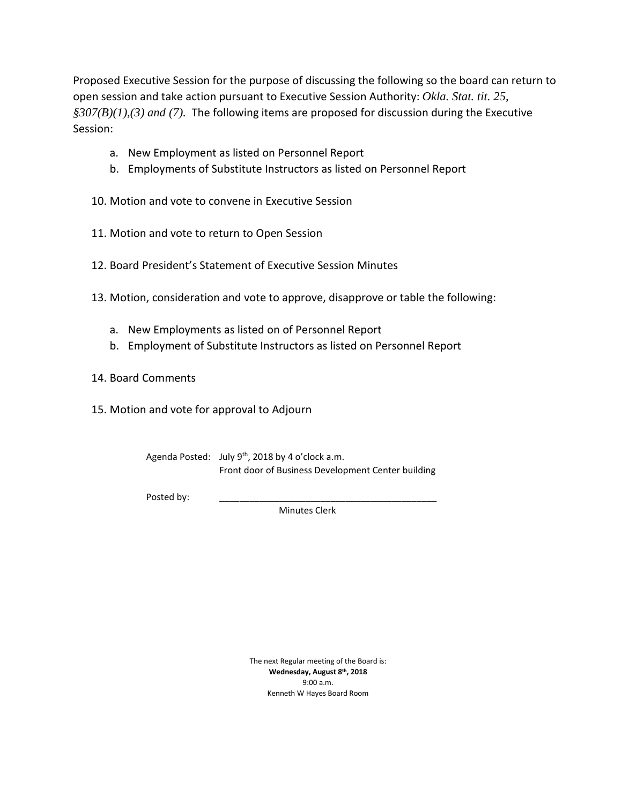Proposed Executive Session for the purpose of discussing the following so the board can return to open session and take action pursuant to Executive Session Authority: *Okla. Stat. tit. 25, §307(B)(1),(3) and (7).* The following items are proposed for discussion during the Executive Session:

- a. New Employment as listed on Personnel Report
- b. Employments of Substitute Instructors as listed on Personnel Report
- 10. Motion and vote to convene in Executive Session
- 11. Motion and vote to return to Open Session
- 12. Board President's Statement of Executive Session Minutes
- 13. Motion, consideration and vote to approve, disapprove or table the following:
	- a. New Employments as listed on of Personnel Report
	- b. Employment of Substitute Instructors as listed on Personnel Report
- 14. Board Comments
- 15. Motion and vote for approval to Adjourn

| Agenda Posted: July 9 <sup>th</sup> , 2018 by 4 o'clock a.m. |  |
|--------------------------------------------------------------|--|
| Front door of Business Development Center building           |  |

Posted by:

Minutes Clerk

The next Regular meeting of the Board is: **Wednesday, August 8th, 2018** 9:00 a.m. Kenneth W Hayes Board Room